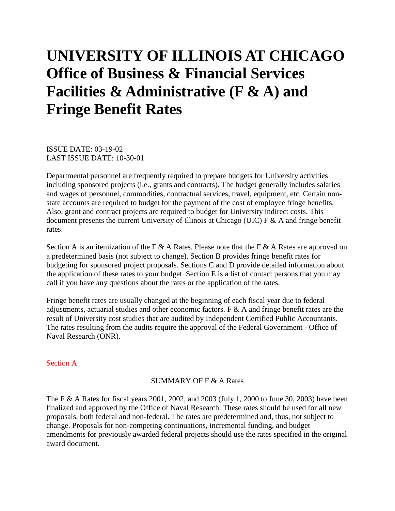# **UNIVERSITY OF ILLINOIS AT CHICAGO Office of Business & Financial Services Facilities & Administrative (F & A) and Fringe Benefit Rates**

ISSUE DATE: 03-19-02 LAST ISSUE DATE: 10-30-01

Departmental personnel are frequently required to prepare budgets for University activities including sponsored projects (i.e., grants and contracts). The budget generally includes salaries and wages of personnel, commodities, contractual services, travel, equipment, etc. Certain nonstate accounts are required to budget for the payment of the cost of employee fringe benefits. Also, grant and contract projects are required to budget for University indirect costs. This document presents the current University of Illinois at Chicago (UIC) F & A and fringe benefit rates.

Section A is an itemization of the F & A Rates. Please note that the F & A Rates are approved on a predetermined basis (not subject to change). Section B provides fringe benefit rates for budgeting for sponsored project proposals. Sections C and D provide detailed information about the application of these rates to your budget. Section E is a list of contact persons that you may call if you have any questions about the rates or the application of the rates.

Fringe benefit rates are usually changed at the beginning of each fiscal year due to federal adjustments, actuarial studies and other economic factors. F & A and fringe benefit rates are the result of University cost studies that are audited by Independent Certified Public Accountants. The rates resulting from the audits require the approval of the Federal Government - Office of Naval Research (ONR).

#### Section A

#### SUMMARY OF F & A Rates

The F & A Rates for fiscal years 2001, 2002, and 2003 (July 1, 2000 to June 30, 2003) have been finalized and approved by the Office of Naval Research. These rates should be used for all new proposals, both federal and non-federal. The rates are predetermined and, thus, not subject to change. Proposals for non-competing continuations, incremental funding, and budget amendments for previously awarded federal projects should use the rates specified in the original award document.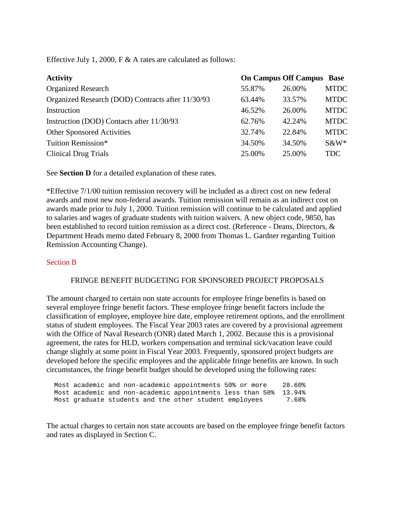Effective July 1, 2000, F & A rates are calculated as follows:

| <b>Activity</b>                                   |        | <b>On Campus Off Campus Base</b> |             |
|---------------------------------------------------|--------|----------------------------------|-------------|
| <b>Organized Research</b>                         | 55.87% | 26.00%                           | <b>MTDC</b> |
| Organized Research (DOD) Contracts after 11/30/93 | 63.44% | 33.57%                           | <b>MTDC</b> |
| Instruction                                       | 46.52% | 26.00%                           | <b>MTDC</b> |
| Instruction (DOD) Contacts after 11/30/93         | 62.76% | 42.24%                           | <b>MTDC</b> |
| <b>Other Sponsored Activities</b>                 | 32.74% | 22.84%                           | <b>MTDC</b> |
| Tuition Remission*                                | 34.50% | 34.50%                           | $S\&W^*$    |
| <b>Clinical Drug Trials</b>                       | 25.00% | 25.00%                           | <b>TDC</b>  |

See **Section D** for a detailed explanation of these rates.

\*Effective 7/1/00 tuition remission recovery will be included as a direct cost on new federal awards and most new non-federal awards. Tuition remission will remain as an indirect cost on awards made prior to July 1, 2000. Tuition remission will continue to be calculated and applied to salaries and wages of graduate students with tuition waivers. A new object code, 9850, has been established to record tuition remission as a direct cost. (Reference - Deans, Directors, & Department Heads memo dated February 8, 2000 from Thomas L. Gardner regarding Tuition Remission Accounting Change).

## Section B

# FRINGE BENEFIT BUDGETING FOR SPONSORED PROJECT PROPOSALS

The amount charged to certain non state accounts for employee fringe benefits is based on several employee fringe benefit factors. These employee fringe benefit factors include the classification of employee, employee hire date, employee retirement options, and the enrollment status of student employees. The Fiscal Year 2003 rates are covered by a provisional agreement with the Office of Naval Research (ONR) dated March 1, 2002. Because this is a provisional agreement, the rates for HLD, workers compensation and terminal sick/vacation leave could change slightly at some point in Fiscal Year 2003. Frequently, sponsored project budgets are developed before the specific employees and the applicable fringe benefits are known. In such circumstances, the fringe benefit budget should be developed using the following rates:

 Most academic and non-academic appointments 50% or more 28.60% Most academic and non-academic appointments less than 50% 13.94% Most graduate students and the other student employees

The actual charges to certain non state accounts are based on the employee fringe benefit factors and rates as displayed in Section C.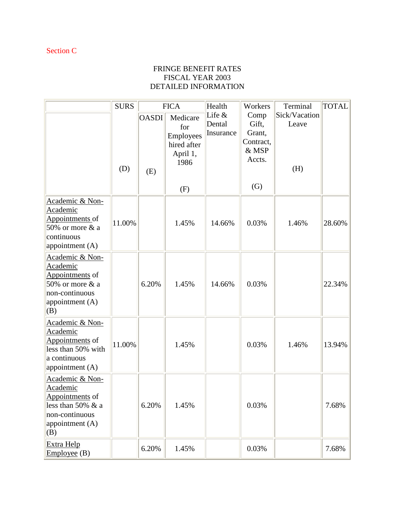# FRINGE BENEFIT RATES FISCAL YEAR 2003 DETAILED INFORMATION

|                                                                                                                            | <b>SURS</b> |                     | <b>FICA</b>                                                     | Health                          | Workers                                                        | Terminal                      | <b>TOTAL</b> |
|----------------------------------------------------------------------------------------------------------------------------|-------------|---------------------|-----------------------------------------------------------------|---------------------------------|----------------------------------------------------------------|-------------------------------|--------------|
|                                                                                                                            | (D)         | <b>OASDI</b><br>(E) | Medicare<br>for<br>Employees<br>hired after<br>April 1,<br>1986 | Life $&$<br>Dental<br>Insurance | Comp<br>Gift,<br>Grant,<br>Contract,<br>& MSP<br>Accts.<br>(G) | Sick/Vacation<br>Leave<br>(H) |              |
| Academic & Non-                                                                                                            |             |                     | (F)                                                             |                                 |                                                                |                               |              |
| Academic<br>Appointments of<br>50% or more $&$ a<br>continuous<br>appointment (A)                                          | 11.00%      |                     | 1.45%                                                           | 14.66%                          | 0.03%                                                          | 1.46%                         | 28.60%       |
| Academic & Non-<br>Academic<br>Appointments of<br>50% or more $&$ a<br>non-continuous<br>appointment (A)<br>(B)            |             | 6.20%               | 1.45%                                                           | 14.66%                          | 0.03%                                                          |                               | 22.34%       |
| Academic & Non-<br>Academic<br>Appointments of<br>less than 50% with<br>a continuous<br>appointment (A)                    | 11.00%      |                     | 1.45%                                                           |                                 | 0.03%                                                          | 1.46%                         | 13.94%       |
| Academic & Non-<br>Academic<br>Appointments of<br>less than 50% $\&$ a<br>non-continuous<br>appointment (A)<br>$\vert$ (B) |             | 6.20%               | 1.45%                                                           |                                 | 0.03%                                                          |                               | 7.68%        |
| Extra Help<br>Employee(B)                                                                                                  |             | 6.20%               | 1.45%                                                           |                                 | 0.03%                                                          |                               | 7.68%        |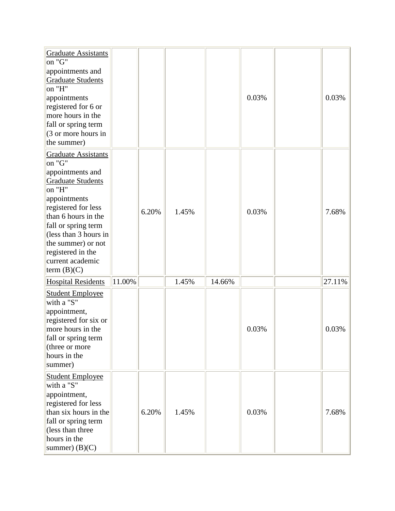| <b>Graduate Assistants</b><br>on "G"<br>appointments and<br><b>Graduate Students</b><br>on "H"<br>appointments<br>registered for 6 or<br>more hours in the<br>fall or spring term<br>(3 or more hours in<br>the summer)                                                                    |        |       |       |        | 0.03% | 0.03%  |
|--------------------------------------------------------------------------------------------------------------------------------------------------------------------------------------------------------------------------------------------------------------------------------------------|--------|-------|-------|--------|-------|--------|
| <b>Graduate Assistants</b><br>on "G"<br>appointments and<br><b>Graduate Students</b><br>on "H"<br>appointments<br>registered for less<br>than 6 hours in the<br>fall or spring term<br>(less than 3 hours in<br>the summer) or not<br>registered in the<br>current academic<br>term (B)(C) |        | 6.20% | 1.45% |        | 0.03% | 7.68%  |
| <b>Hospital Residents</b>                                                                                                                                                                                                                                                                  | 11.00% |       | 1.45% | 14.66% |       | 27.11% |
| <b>Student Employee</b><br>with a "S"<br>appointment,<br>registered for six or<br>more hours in the<br>fall or spring term<br>(three or more<br>hours in the<br>summer)                                                                                                                    |        |       |       |        | 0.03% | 0.03%  |
| <b>Student Employee</b><br>with a "S"<br>appointment,<br>registered for less<br>than six hours in the<br>fall or spring term<br>(less than three<br>hours in the<br>summer $)$ (B)(C)                                                                                                      |        | 6.20% | 1.45% |        | 0.03% | 7.68%  |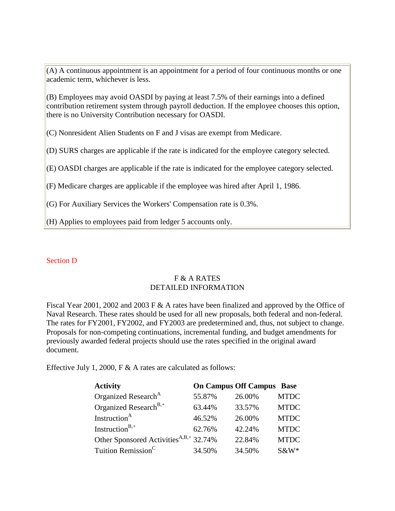(A) A continuous appointment is an appointment for a period of four continuous months or one academic term, whichever is less.

(B) Employees may avoid OASDI by paying at least 7.5% of their earnings into a defined contribution retirement system through payroll deduction. If the employee chooses this option, there is no University Contribution necessary for OASDI.

(C) Nonresident Alien Students on F and J visas are exempt from Medicare.

(D) SURS charges are applicable if the rate is indicated for the employee category selected.

(E) OASDI charges are applicable if the rate is indicated for the employee category selected.

(F) Medicare charges are applicable if the employee was hired after April 1, 1986.

(G) For Auxiliary Services the Workers' Compensation rate is 0.3%.

(H) Applies to employees paid from ledger 5 accounts only.

## Section D

# F & A RATES DETAILED INFORMATION

Fiscal Year 2001, 2002 and 2003 F & A rates have been finalized and approved by the Office of Naval Research. These rates should be used for all new proposals, both federal and non-federal. The rates for FY2001, FY2002, and FY2003 are predetermined and, thus, not subject to change. Proposals for non-competing continuations, incremental funding, and budget amendments for previously awarded federal projects should use the rates specified in the original award document.

Effective July 1, 2000, F & A rates are calculated as follows:

| <b>Activity</b>                                    |        | <b>On Campus Off Campus Base</b> |             |
|----------------------------------------------------|--------|----------------------------------|-------------|
| Organized Research <sup>A</sup>                    | 55.87% | 26.00%                           | <b>MTDC</b> |
| Organized Research <sup>B,+</sup>                  | 63.44% | 33.57%                           | <b>MTDC</b> |
| Instruction <sup>A</sup>                           | 46.52% | 26.00%                           | <b>MTDC</b> |
| Instruction <sup>B,+</sup>                         | 62.76% | 42.24%                           | <b>MTDC</b> |
| Other Sponsored Activities <sup>A,B,+</sup> 32.74% |        | 22.84%                           | <b>MTDC</b> |
| Tuition Remission <sup>C</sup>                     | 34.50% | 34.50%                           | $S\&W^*$    |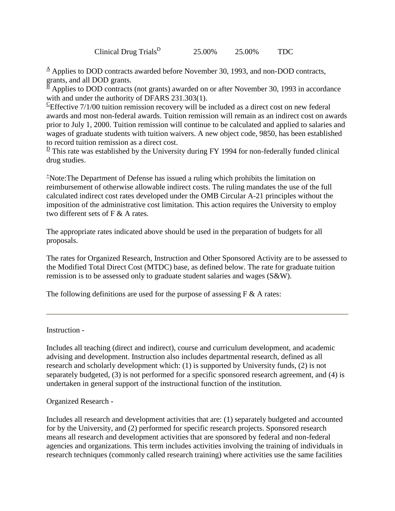Clinical Drug Trials<sup>D</sup> 25.00% 25.00% TDC

 $\triangle$  Applies to DOD contracts awarded before November 30, 1993, and non-DOD contracts, grants, and all DOD grants.

 $\frac{\overline{B}}{A}$  Applies to DOD contracts (not grants) awarded on or after November 30, 1993 in accordance with and under the authority of DFARS 231.303(1).

 ${}^{\text{c}}$ Effective 7/1/00 tuition remission recovery will be included as a direct cost on new federal awards and most non-federal awards. Tuition remission will remain as an indirect cost on awards prior to July 1, 2000. Tuition remission will continue to be calculated and applied to salaries and wages of graduate students with tuition waivers. A new object code, 9850, has been established to record tuition remission as a direct cost.

 $\frac{D}{D}$  This rate was established by the University during FY 1994 for non-federally funded clinical drug studies.

+ Note:The Department of Defense has issued a ruling which prohibits the limitation on reimbursement of otherwise allowable indirect costs. The ruling mandates the use of the full calculated indirect cost rates developed under the OMB Circular A-21 principles without the imposition of the administrative cost limitation. This action requires the University to employ two different sets of F & A rates.

The appropriate rates indicated above should be used in the preparation of budgets for all proposals.

The rates for Organized Research, Instruction and Other Sponsored Activity are to be assessed to the Modified Total Direct Cost (MTDC) base, as defined below. The rate for graduate tuition remission is to be assessed only to graduate student salaries and wages (S&W).

The following definitions are used for the purpose of assessing  $F \& A$  rates:

Instruction -

Includes all teaching (direct and indirect), course and curriculum development, and academic advising and development. Instruction also includes departmental research, defined as all research and scholarly development which: (1) is supported by University funds, (2) is not separately budgeted, (3) is not performed for a specific sponsored research agreement, and (4) is undertaken in general support of the instructional function of the institution.

Organized Research -

Includes all research and development activities that are: (1) separately budgeted and accounted for by the University, and (2) performed for specific research projects. Sponsored research means all research and development activities that are sponsored by federal and non-federal agencies and organizations. This term includes activities involving the training of individuals in research techniques (commonly called research training) where activities use the same facilities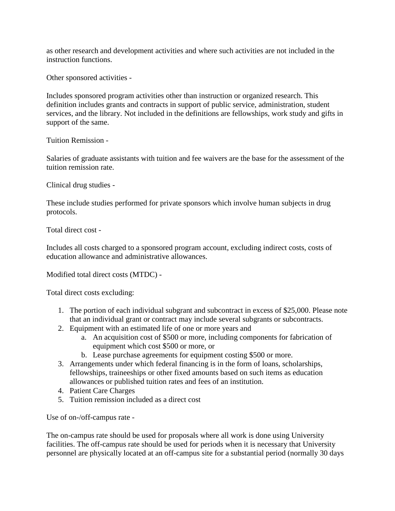as other research and development activities and where such activities are not included in the instruction functions.

Other sponsored activities -

Includes sponsored program activities other than instruction or organized research. This definition includes grants and contracts in support of public service, administration, student services, and the library. Not included in the definitions are fellowships, work study and gifts in support of the same.

Tuition Remission -

Salaries of graduate assistants with tuition and fee waivers are the base for the assessment of the tuition remission rate.

Clinical drug studies -

These include studies performed for private sponsors which involve human subjects in drug protocols.

Total direct cost -

Includes all costs charged to a sponsored program account, excluding indirect costs, costs of education allowance and administrative allowances.

Modified total direct costs (MTDC) -

Total direct costs excluding:

- 1. The portion of each individual subgrant and subcontract in excess of \$25,000. Please note that an individual grant or contract may include several subgrants or subcontracts.
- 2. Equipment with an estimated life of one or more years and
	- a. An acquisition cost of \$500 or more, including components for fabrication of equipment which cost \$500 or more, or
	- b. Lease purchase agreements for equipment costing \$500 or more.
- 3. Arrangements under which federal financing is in the form of loans, scholarships, fellowships, traineeships or other fixed amounts based on such items as education allowances or published tuition rates and fees of an institution.
- 4. Patient Care Charges
- 5. Tuition remission included as a direct cost

Use of on-/off-campus rate -

The on-campus rate should be used for proposals where all work is done using University facilities. The off-campus rate should be used for periods when it is necessary that University personnel are physically located at an off-campus site for a substantial period (normally 30 days